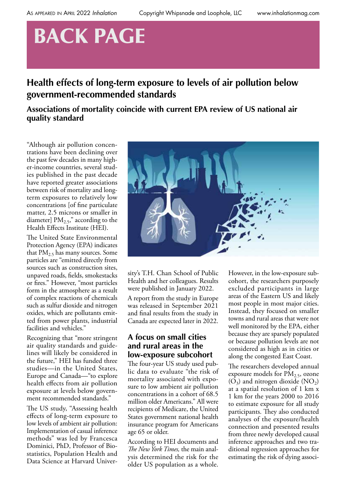# BACK PAGE

# **Health effects of long-term exposure to levels of air pollution below government-recommended standards**

## **Associations of mortality coincide with current EPA review of US national air quality standard**

"Although air pollution concentrations have been declining over the past few decades in many higher-income countries, several studies published in the past decade have reported greater associations between risk of mortality and longterm exposures to relatively low concentrations [of fine particulate matter, 2.5 microns or smaller in diameter]  $PM<sub>2.5</sub>$ ," according to the Health Effects Institute (HEI).

The United State Environmental Protection Agency (EPA) indicates that  $PM_{2.5}$  has many sources. Some particles are "emitted directly from sources such as construction sites, unpaved roads, fields, smokestacks or fires." However, "most particles form in the atmosphere as a result of complex reactions of chemicals such as sulfur dioxide and nitrogen oxides, which are pollutants emitted from power plants, industrial facilities and vehicles."

Recognizing that "more stringent air quality standards and guidelines will likely be considered in the future," HEI has funded three studies—in the United States, Europe and Canada—"to explore health effects from air pollution exposure at levels below government recommended standards."

The US study, "Assessing health effects of long-term exposure to low levels of ambient air pollution: Implementation of casual inference methods" was led by Francesca Dominici, PhD, Professor of Biostatistics, Population Health and Data Science at Harvard Univer-



sity's T.H. Chan School of Public Health and her colleagues. Results were published in January 2022.

A report from the study in Europe was released in September 2021 and final results from the study in Canada are expected later in 2022.

### **A focus on small cities and rural areas in the low-exposure subcohort**

The four-year US study used public data to evaluate "the risk of mortality associated with exposure to low ambient air pollution concentrations in a cohort of 68.5 million older Americans." All were recipients of Medicare, the United States government national health insurance program for Americans age 65 or older.

According to HEI documents and *The New York Times,* the main analysis determined the risk for the older US population as a whole.

However, in the low-exposure subcohort, the researchers purposely excluded participants in large areas of the Eastern US and likely most people in most major cities. Instead, they focused on smaller towns and rural areas that were not well monitored by the EPA, either because they are sparsely populated or because pollution levels are not considered as high as in cities or along the congested East Coast.

The researchers developed annual exposure models for  $PM<sub>2.5</sub>$ , ozone  $(O_3)$  and nitrogen dioxide  $(NO_2)$ at a spatial resolution of 1 km x 1 km for the years 2000 to 2016 to estimate exposure for all study participants. They also conducted analyses of the exposure/health connection and presented results from three newly developed causal inference approaches and two traditional regression approaches for estimating the risk of dying associ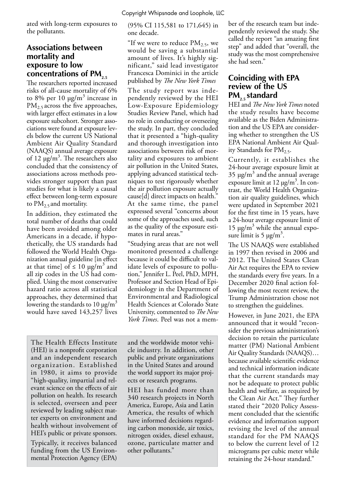Copyright Whipsnade and Loophole, LLC

ated with long-term exposures to the pollutants.

#### **Associations between mortality and exposure to low**  concentrations of PM<sub>2.5</sub>

The researchers reported increased risks of all-cause mortality of 6% to 8% per 10  $\mu$ g/m<sup>3</sup> increase in  $PM_{2.5}$  across the five approaches, with larger effect estimates in a low exposure subcohort. Stronger associations were found at exposure levels below the current US National Ambient Air Quality Standard (NAAQS) annual average exposure of 12  $\mu$ g/m<sup>3</sup>. The researchers also concluded that the consistency of associations across methods provides stronger support than past studies for what is likely a causal effect between long-term exposure to  $PM_{2.5}$  and mortality.

In addition, they estimated the total number of deaths that could have been avoided among older Americans in a decade, if hypothetically, the US standards had followed the World Health Organization annual guideline [in effect at that time] of  $\leq 10 \text{ µg/m}^3$  and all zip codes in the US had complied. Using the most conservative hazard ratio across all statistical approaches, they determined that lowering the standards to 10  $\mu$ g/m<sup>3</sup> would have saved 143,257 lives

(95% CI 115,581 to 171,645) in one decade.

"If we were to reduce  $PM_{2.5}$ , we would be saving a substantial amount of lives. It's highly significant," said lead investigator Francesca Dominici in the article published by *The New York Times*

The study report was independently reviewed by the HEI Low-Exposure Epidemiology Studies Review Panel, which had no role in conducting or overseeing the study. In part, they concluded that it presented a "high-quality and thorough investigation into associations between risk of mortality and exposures to ambient air pollution in the United States, applying advanced statistical techniques to test rigorously whether the air pollution exposure actually cause[d] direct impacts on health." At the same time, the panel expressed several "concerns about some of the approaches used, such as the quality of the exposure estimates in rural areas."

"Studying areas that are not well monitored presented a challenge because it could be difficult to validate levels of exposure to pollution," Jennifer L. Peel, PhD, MPH, Professor and Section Head of Epidemiology in the Department of Environmental and Radiological Health Sciences at Colorado State University, commented to *The New York Times*. Peel was not a mem-

The Health Effects Institute (HEI) is a nonprofit corporation and an independent research organization. Established in 1980, it aims to provide "high-quality, impartial and relevant science on the effects of air pollution on health. Its research is selected, overseen and peer reviewed by leading subject matter experts on environment and health without involvement of HEI's public or private sponsors.

Typically, it receives balanced funding from the US Environmental Protection Agency (EPA)

and the worldwide motor vehicle industry. In addition, other public and private organizations in the United States and around the world support its major projects or research programs.

HEI has funded more than 340 research projects in North America, Europe, Asia and Latin America, the results of which have informed decisions regarding carbon monoxide, air toxics, nitrogen oxides, diesel exhaust, ozone, particulate matter and other pollutants."

ber of the research team but independently reviewed the study. She called the report "an amazing first step" and added that "overall, the study was the most comprehensive she had seen."

### **Coinciding with EPA review of the US PM<sub>2.5</sub>** standard

HEI and *The New York Times* noted the study results have become available as the Biden Administration and the US EPA are considering whether to strengthen the US EPA National Ambient Air Quality Standards for  $PM<sub>2.5</sub>$ .

Currently, it establishes the 24-hour average exposure limit at  $35 \text{ µg/m}^3$  and the annual average exposure limit at  $12 \mu g/m^3$ . In contrast, the World Health Organization air quality guidelines, which were updated in September 2021 for the first time in 15 years, have a 24-hour average exposure limit of  $15 \mu g/m^3$  while the annual exposure limit is 5  $\mu$ g/m<sup>3</sup>.

The US NAAQS were established in 1997 then revised in 2006 and 2012. The United States Clean Air Act requires the EPA to review the standards every five years. In a December 2020 final action following the most recent review, the Trump Administration chose not to strengthen the guidelines.

However, in June 2021, the EPA announced that it would "reconsider the previous administration's decision to retain the particulate matter (PM) National Ambient Air Quality Standards (NAAQS)… because available scientific evidence and technical information indicate that the current standards may not be adequate to protect public health and welfare, as required by the Clean Air Act." They further stated their "2020 Policy Assessment concluded that the scientific evidence and information support revising the level of the annual standard for the PM NAAQS to below the current level of 12 micrograms per cubic meter while retaining the 24-hour standard."